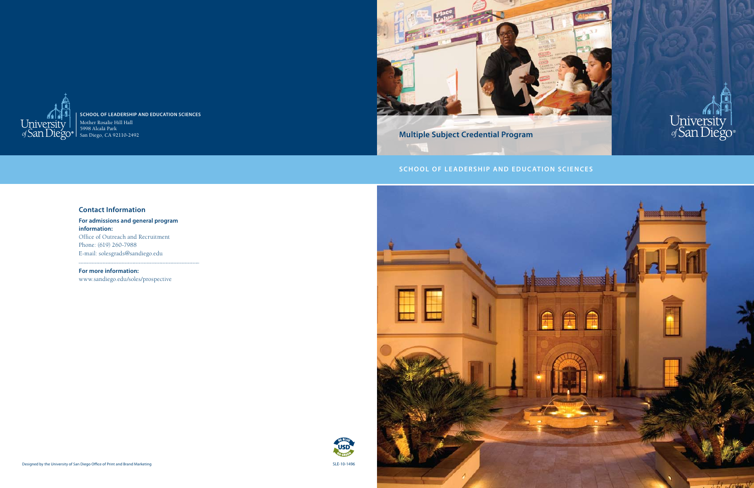SLE-10-1496







### **School of Leadership and Education Sciences** Mother Rosalie Hill Hall 5998 Alcalá Park

San Diego, CA 92110-2492

# **S CHOOL OF LEADERSHIP AND EDUCATION SCIENCES**





### **Contact Information**

**For admissions and general program information:** Office of Outreach and Recruitment Phone: (619) 260-7988 E-mail: solesgrads@sandiego.edu

# **For more information:**

www.sandiego.edu/soles/prospective